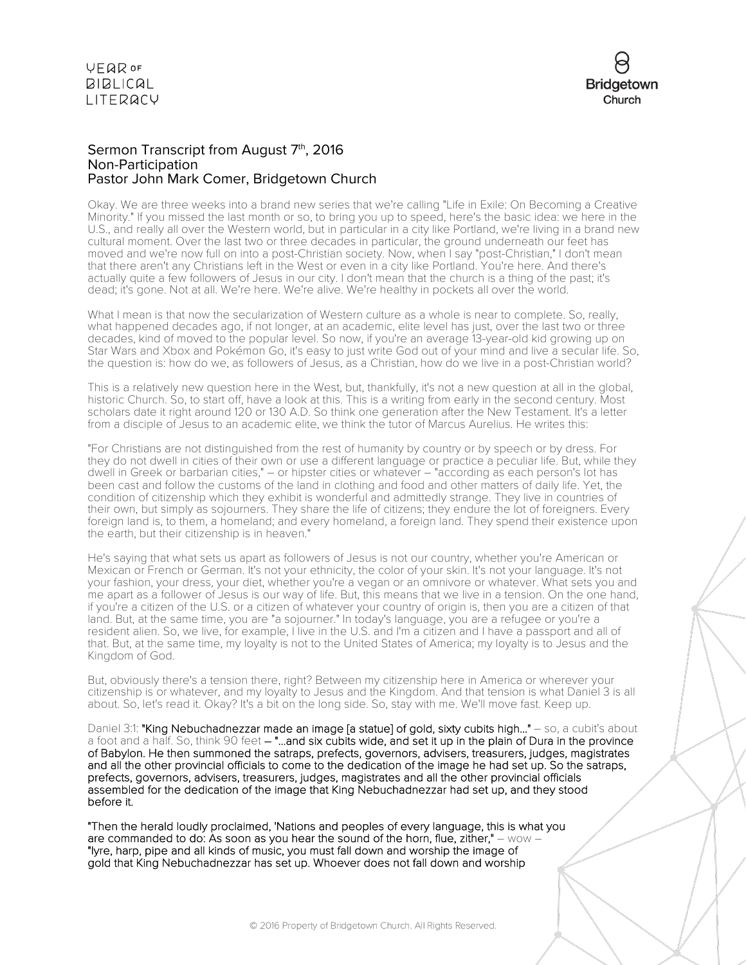

## Sermon Transcript from August 7<sup>th</sup>, 2016 Non-Participation Pastor John Mark Comer, Bridgetown Church

Okay. We are three weeks into a brand new series that we're calling "Life in Exile: On Becoming a Creative Minority." If you missed the last month or so, to bring you up to speed, here's the basic idea: we here in the U.S., and really all over the Western world, but in particular in a city like Portland, we're living in a brand new cultural moment. Over the last two or three decades in particular, the ground underneath our feet has moved and we're now full on into a post-Christian society. Now, when I say "post-Christian," I don't mean that there aren't any Christians left in the West or even in a city like Portland. You're here. And there's actually quite a few followers of Jesus in our city. I don't mean that the church is a thing of the past; it's dead; it's gone. Not at all. We're here. We're alive. We're healthy in pockets all over the world.

What I mean is that now the secularization of Western culture as a whole is near to complete. So, really, what happened decades ago, if not longer, at an academic, elite level has just, over the last two or three decades, kind of moved to the popular level. So now, if you're an average 13-year-old kid growing up on Star Wars and Xbox and Pokémon Go, it's easy to just write God out of your mind and live a secular life. So, the question is: how do we, as followers of Jesus, as a Christian, how do we live in a post-Christian world?

This is a relatively new question here in the West, but, thankfully, it's not a new question at all in the global, historic Church. So, to start off, have a look at this. This is a writing from early in the second century. Most scholars date it right around 120 or 130 A.D. So think one generation after the New Testament. It's a letter from a disciple of Jesus to an academic elite, we think the tutor of Marcus Aurelius. He writes this:

"For Christians are not distinguished from the rest of humanity by country or by speech or by dress. For they do not dwell in cities of their own or use a different language or practice a peculiar life. But, while they dwell in Greek or barbarian cities," – or hipster cities or whatever – "according as each person's lot has been cast and follow the customs of the land in clothing and food and other matters of daily life. Yet, the condition of citizenship which they exhibit is wonderful and admittedly strange. They live in countries of their own, but simply as sojourners. They share the life of citizens; they endure the lot of foreigners. Every foreign land is, to them, a homeland; and every homeland, a foreign land. They spend their existence upon the earth, but their citizenship is in heaven."

He's saying that what sets us apart as followers of Jesus is not our country, whether you're American or Mexican or French or German. It's not your ethnicity, the color of your skin. It's not your language. It's not your fashion, your dress, your diet, whether you're a vegan or an omnivore or whatever. What sets you and me apart as a follower of Jesus is our way of life. But, this means that we live in a tension. On the one hand, if you're a citizen of the U.S. or a citizen of whatever your country of origin is, then you are a citizen of that land. But, at the same time, you are "a sojourner." In today's language, you are a refugee or you're a resident alien. So, we live, for example, I live in the U.S. and I'm a citizen and I have a passport and all of that. But, at the same time, my loyalty is not to the United States of America; my loyalty is to Jesus and the Kingdom of God.

But, obviously there's a tension there, right? Between my citizenship here in America or wherever your citizenship is or whatever, and my loyalty to Jesus and the Kingdom. And that tension is what Daniel 3 is all about. So, let's read it. Okay? It's a bit on the long side. So, stay with me. We'll move fast. Keep up.

Daniel 3:1: "King Nebuchadnezzar made an image [a statue] of gold, sixty cubits high..." - so, a cubit's about a foot and a half. So, think 90 feet – "...and six cubits wide, and set it up in the plain of Dura in the province of Babylon. He then summoned the satraps, prefects, governors, advisers, treasurers, judges, magistrates and all the other provincial officials to come to the dedication of the image he had set up. So the satraps, prefects, governors, advisers, treasurers, judges, magistrates and all the other provincial officials assembled for the dedication of the image that King Nebuchadnezzar had set up, and they stood before it.

"Then the herald loudly proclaimed, 'Nations and peoples of every language, this is what you are commanded to do: As soon as you hear the sound of the horn, flue, zither," – wow – "lyre, harp, pipe and all kinds of music, you must fall down and worship the image of gold that King Nebuchadnezzar has set up. Whoever does not fall down and worship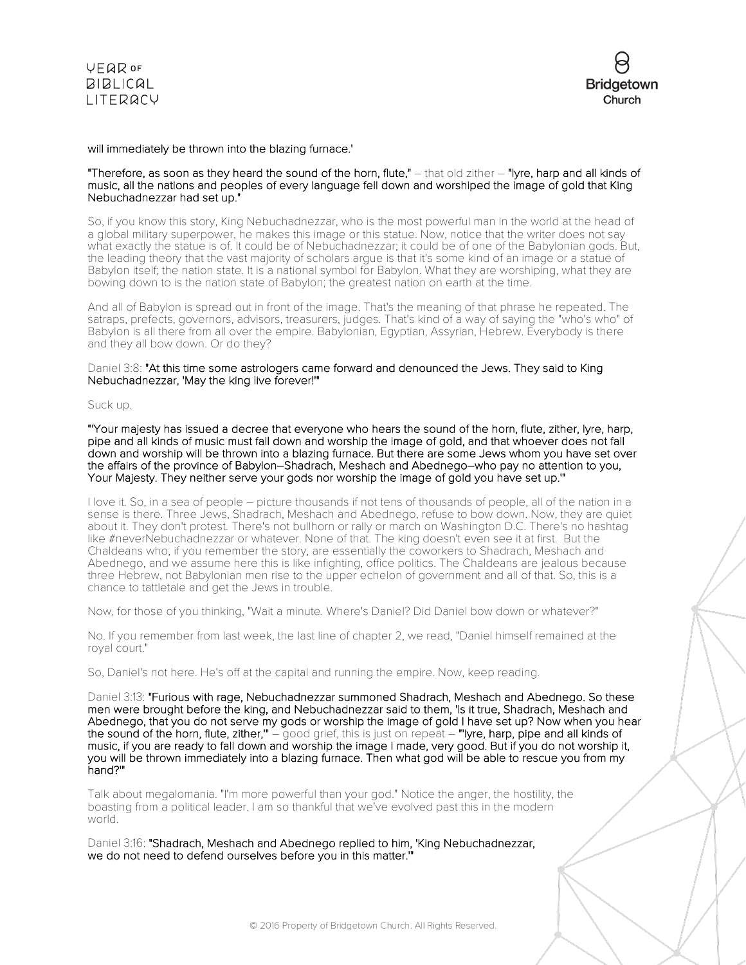

## will immediately be thrown into the blazing furnace.'

#### "Therefore, as soon as they heard the sound of the horn, flute,"  $-$  that old zither  $-$  "lyre, harp and all kinds of music, all the nations and peoples of every language fell down and worshiped the image of gold that King Nebuchadnezzar had set up."

So, if you know this story, King Nebuchadnezzar, who is the most powerful man in the world at the head of a global military superpower, he makes this image or this statue. Now, notice that the writer does not say what exactly the statue is of. It could be of Nebuchadnezzar; it could be of one of the Babylonian gods. But, the leading theory that the vast majority of scholars argue is that it's some kind of an image or a statue of Babylon itself; the nation state. It is a national symbol for Babylon. What they are worshiping, what they are bowing down to is the nation state of Babylon; the greatest nation on earth at the time.

And all of Babylon is spread out in front of the image. That's the meaning of that phrase he repeated. The satraps, prefects, governors, advisors, treasurers, judges. That's kind of a way of saying the "who's who" of Babylon is all there from all over the empire. Babylonian, Egyptian, Assyrian, Hebrew. Everybody is there and they all bow down. Or do they?

## Daniel 3:8: "At this time some astrologers came forward and denounced the Jews. They said to King Nebuchadnezzar, 'May the king live forever!'"

#### Suck up.

"'Your majesty has issued a decree that everyone who hears the sound of the horn, flute, zither, lyre, harp, pipe and all kinds of music must fall down and worship the image of gold, and that whoever does not fall down and worship will be thrown into a blazing furnace. But there are some Jews whom you have set over the affairs of the province of Babylon–Shadrach, Meshach and Abednego–who pay no attention to you, Your Majesty. They neither serve your gods nor worship the image of gold you have set up.'"

I love it. So, in a sea of people – picture thousands if not tens of thousands of people, all of the nation in a sense is there. Three Jews, Shadrach, Meshach and Abednego, refuse to bow down. Now, they are quiet about it. They don't protest. There's not bullhorn or rally or march on Washington D.C. There's no hashtag like #neverNebuchadnezzar or whatever. None of that. The king doesn't even see it at first. But the Chaldeans who, if you remember the story, are essentially the coworkers to Shadrach, Meshach and Abednego, and we assume here this is like infighting, office politics. The Chaldeans are jealous because three Hebrew, not Babylonian men rise to the upper echelon of government and all of that. So, this is a chance to tattletale and get the Jews in trouble.

Now, for those of you thinking, "Wait a minute. Where's Daniel? Did Daniel bow down or whatever?"

No. If you remember from last week, the last line of chapter 2, we read, "Daniel himself remained at the royal court."

So, Daniel's not here. He's off at the capital and running the empire. Now, keep reading.

Daniel 3:13: "Furious with rage, Nebuchadnezzar summoned Shadrach, Meshach and Abednego. So these men were brought before the king, and Nebuchadnezzar said to them, 'Is it true, Shadrach, Meshach and Abednego, that you do not serve my gods or worship the image of gold I have set up? Now when you hear the sound of the horn, flute, zither," – good grief, this is just on repeat – "'lyre, harp, pipe and all kinds of music, if you are ready to fall down and worship the image I made, very good. But if you do not worship it, you will be thrown immediately into a blazing furnace. Then what god will be able to rescue you from my hand?'"

Talk about megalomania. "I'm more powerful than your god." Notice the anger, the hostility, the boasting from a political leader. I am so thankful that we've evolved past this in the modern world.

Daniel 3:16: "Shadrach, Meshach and Abednego replied to him, 'King Nebuchadnezzar, we do not need to defend ourselves before you in this matter.'"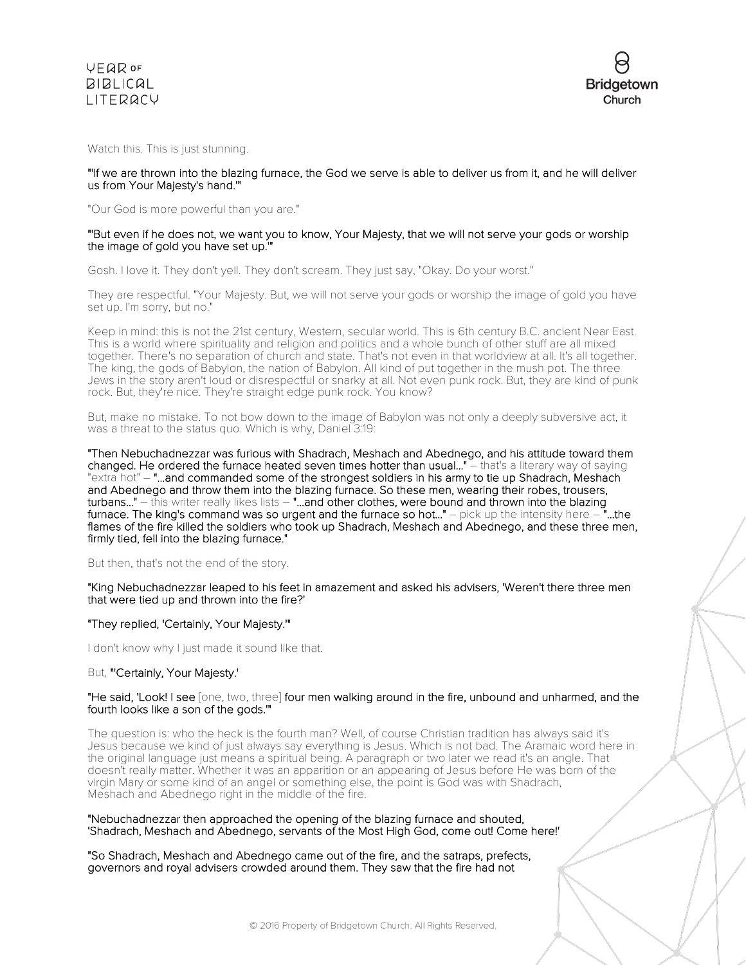



Watch this. This is just stunning.

## "'If we are thrown into the blazing furnace, the God we serve is able to deliver us from it, and he will deliver us from Your Majesty's hand.'"

"Our God is more powerful than you are."

## "'But even if he does not, we want you to know, Your Majesty, that we will not serve your gods or worship the image of gold you have set up.'"

Gosh. I love it. They don't yell. They don't scream. They just say, "Okay. Do your worst."

They are respectful. "Your Majesty. But, we will not serve your gods or worship the image of gold you have set up. I'm sorry, but no."

Keep in mind: this is not the 21st century, Western, secular world. This is 6th century B.C. ancient Near East. This is a world where spirituality and religion and politics and a whole bunch of other stuff are all mixed together. There's no separation of church and state. That's not even in that worldview at all. It's all together. The king, the gods of Babylon, the nation of Babylon. All kind of put together in the mush pot. The three Jews in the story aren't loud or disrespectful or snarky at all. Not even punk rock. But, they are kind of punk rock. But, they're nice. They're straight edge punk rock. You know?

But, make no mistake. To not bow down to the image of Babylon was not only a deeply subversive act, it was a threat to the status quo. Which is why, Daniel 3:19:

"Then Nebuchadnezzar was furious with Shadrach, Meshach and Abednego, and his attitude toward them changed. He ordered the furnace heated seven times hotter than usual..." – that's a literary way of saying "extra hot" – "...and commanded some of the strongest soldiers in his army to tie up Shadrach, Meshach and Abednego and throw them into the blazing furnace. So these men, wearing their robes, trousers, turbans..." – this writer really likes lists – "...and other clothes, were bound and thrown into the blazing<br>furnace. The king's command was so urgent and the furnace so hot..." – pick up the intensity here – "...the furnace. The king's command was so urgent and the furnace so hot..." – pick up the intensity here  $$ flames of the fire killed the soldiers who took up Shadrach, Meshach and Abednego, and these three men, firmly tied, fell into the blazing furnace."

### But then, that's not the end of the story.

"King Nebuchadnezzar leaped to his feet in amazement and asked his advisers, 'Weren't there three men that were tied up and thrown into the fire?'

#### "They replied, 'Certainly, Your Majesty.'"

I don't know why I just made it sound like that.

### But, "'Certainly, Your Majesty.'

### "He said, 'Look! I see [one, two, three] four men walking around in the fire, unbound and unharmed, and the fourth looks like a son of the gods.'"

The question is: who the heck is the fourth man? Well, of course Christian tradition has always said it's Jesus because we kind of just always say everything is Jesus. Which is not bad. The Aramaic word here in the original language just means a spiritual being. A paragraph or two later we read it's an angle. That doesn't really matter. Whether it was an apparition or an appearing of Jesus before He was born of the virgin Mary or some kind of an angel or something else, the point is God was with Shadrach, Meshach and Abednego right in the middle of the fire.

#### "Nebuchadnezzar then approached the opening of the blazing furnace and shouted, 'Shadrach, Meshach and Abednego, servants of the Most High God, come out! Come here!'

"So Shadrach, Meshach and Abednego came out of the fire, and the satraps, prefects, governors and royal advisers crowded around them. They saw that the fire had not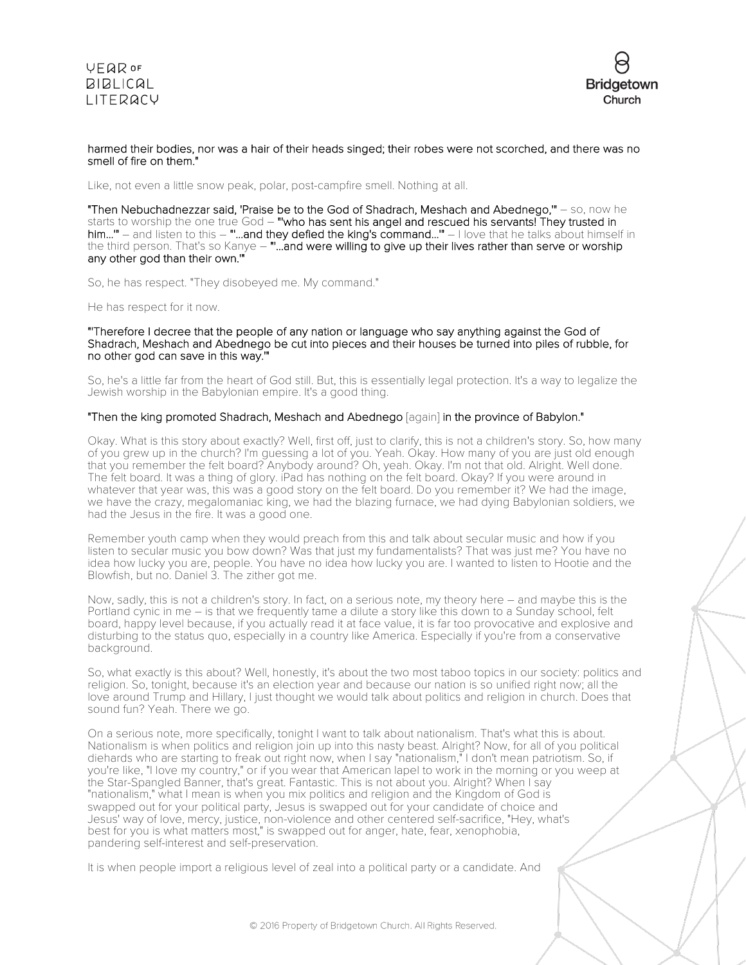

## harmed their bodies, nor was a hair of their heads singed; their robes were not scorched, and there was no smell of fire on them."

Like, not even a little snow peak, polar, post-campfire smell. Nothing at all.

"Then Nebuchadnezzar said, 'Praise be to the God of Shadrach, Meshach and Abednego,'" – so, now he starts to worship the one true God – "who has sent his angel and rescued his servants! They trusted in him..." – and listen to this – "...and they defied the king's command..." – I love that he talks about himself in the third person. That's so Kanye – ""...and were willing to give up their lives rather than serve or worship any other god than their own.'"

So, he has respect. "They disobeyed me. My command."

He has respect for it now.

"'Therefore I decree that the people of any nation or language who say anything against the God of Shadrach, Meshach and Abednego be cut into pieces and their houses be turned into piles of rubble, for no other god can save in this way.'"

So, he's a little far from the heart of God still. But, this is essentially legal protection. It's a way to legalize the Jewish worship in the Babylonian empire. It's a good thing.

## "Then the king promoted Shadrach, Meshach and Abednego [again] in the province of Babylon."

Okay. What is this story about exactly? Well, first off, just to clarify, this is not a children's story. So, how many of you grew up in the church? I'm guessing a lot of you. Yeah. Okay. How many of you are just old enough that you remember the felt board? Anybody around? Oh, yeah. Okay. I'm not that old. Alright. Well done. The felt board. It was a thing of glory. iPad has nothing on the felt board. Okay? If you were around in whatever that year was, this was a good story on the felt board. Do you remember it? We had the image, we have the crazy, megalomaniac king, we had the blazing furnace, we had dying Babylonian soldiers, we had the Jesus in the fire. It was a good one.

Remember youth camp when they would preach from this and talk about secular music and how if you listen to secular music you bow down? Was that just my fundamentalists? That was just me? You have no idea how lucky you are, people. You have no idea how lucky you are. I wanted to listen to Hootie and the Blowfish, but no. Daniel 3. The zither got me.

Now, sadly, this is not a children's story. In fact, on a serious note, my theory here – and maybe this is the Portland cynic in me – is that we frequently tame a dilute a story like this down to a Sunday school, felt board, happy level because, if you actually read it at face value, it is far too provocative and explosive and disturbing to the status quo, especially in a country like America. Especially if you're from a conservative background.

So, what exactly is this about? Well, honestly, it's about the two most taboo topics in our society: politics and religion. So, tonight, because it's an election year and because our nation is so unified right now; all the love around Trump and Hillary, I just thought we would talk about politics and religion in church. Does that sound fun? Yeah. There we go.

On a serious note, more specifically, tonight I want to talk about nationalism. That's what this is about. Nationalism is when politics and religion join up into this nasty beast. Alright? Now, for all of you political diehards who are starting to freak out right now, when I say "nationalism," I don't mean patriotism. So, if you're like, "I love my country," or if you wear that American lapel to work in the morning or you weep at the Star-Spangled Banner, that's great. Fantastic. This is not about you. Alright? When I say "nationalism," what I mean is when you mix politics and religion and the Kingdom of God is swapped out for your political party, Jesus is swapped out for your candidate of choice and Jesus' way of love, mercy, justice, non-violence and other centered self-sacrifice, "Hey, what's best for you is what matters most," is swapped out for anger, hate, fear, xenophobia, pandering self-interest and self-preservation.

It is when people import a religious level of zeal into a political party or a candidate. And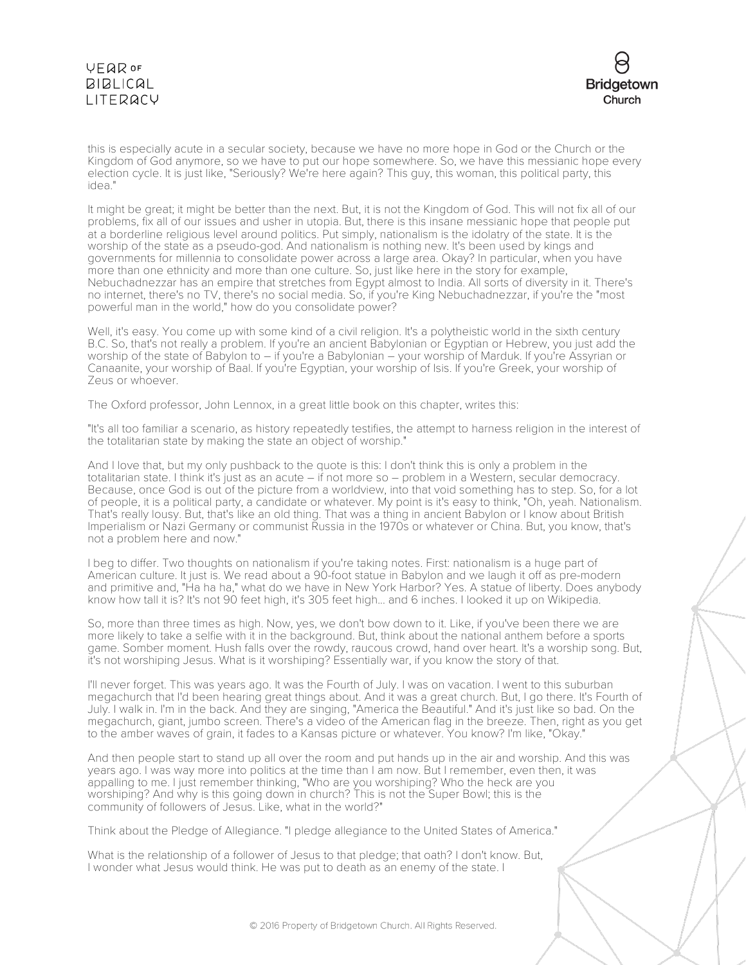

this is especially acute in a secular society, because we have no more hope in God or the Church or the Kingdom of God anymore, so we have to put our hope somewhere. So, we have this messianic hope every election cycle. It is just like, "Seriously? We're here again? This guy, this woman, this political party, this idea."

It might be great; it might be better than the next. But, it is not the Kingdom of God. This will not fix all of our problems, fix all of our issues and usher in utopia. But, there is this insane messianic hope that people put at a borderline religious level around politics. Put simply, nationalism is the idolatry of the state. It is the worship of the state as a pseudo-god. And nationalism is nothing new. It's been used by kings and governments for millennia to consolidate power across a large area. Okay? In particular, when you have more than one ethnicity and more than one culture. So, just like here in the story for example, Nebuchadnezzar has an empire that stretches from Egypt almost to India. All sorts of diversity in it. There's no internet, there's no TV, there's no social media. So, if you're King Nebuchadnezzar, if you're the "most powerful man in the world," how do you consolidate power?

Well, it's easy. You come up with some kind of a civil religion. It's a polytheistic world in the sixth century B.C. So, that's not really a problem. If you're an ancient Babylonian or Egyptian or Hebrew, you just add the worship of the state of Babylon to – if you're a Babylonian – your worship of Marduk. If you're Assyrian or Canaanite, your worship of Baal. If you're Egyptian, your worship of Isis. If you're Greek, your worship of Zeus or whoever.

The Oxford professor, John Lennox, in a great little book on this chapter, writes this:

"It's all too familiar a scenario, as history repeatedly testifies, the attempt to harness religion in the interest of the totalitarian state by making the state an object of worship."

And I love that, but my only pushback to the quote is this: I don't think this is only a problem in the totalitarian state. I think it's just as an acute – if not more so – problem in a Western, secular democracy. Because, once God is out of the picture from a worldview, into that void something has to step. So, for a lot of people, it is a political party, a candidate or whatever. My point is it's easy to think, "Oh, yeah. Nationalism. That's really lousy. But, that's like an old thing. That was a thing in ancient Babylon or I know about British Imperialism or Nazi Germany or communist Russia in the 1970s or whatever or China. But, you know, that's not a problem here and now."

I beg to differ. Two thoughts on nationalism if you're taking notes. First: nationalism is a huge part of American culture. It just is. We read about a 90-foot statue in Babylon and we laugh it off as pre-modern and primitive and, "Ha ha ha," what do we have in New York Harbor? Yes. A statue of liberty. Does anybody know how tall it is? It's not 90 feet high, it's 305 feet high... and 6 inches. I looked it up on Wikipedia.

So, more than three times as high. Now, yes, we don't bow down to it. Like, if you've been there we are more likely to take a selfie with it in the background. But, think about the national anthem before a sports game. Somber moment. Hush falls over the rowdy, raucous crowd, hand over heart. It's a worship song. But, it's not worshiping Jesus. What is it worshiping? Essentially war, if you know the story of that.

I'll never forget. This was years ago. It was the Fourth of July. I was on vacation. I went to this suburban megachurch that I'd been hearing great things about. And it was a great church. But, I go there. It's Fourth of July. I walk in. I'm in the back. And they are singing, "America the Beautiful." And it's just like so bad. On the megachurch, giant, jumbo screen. There's a video of the American flag in the breeze. Then, right as you get to the amber waves of grain, it fades to a Kansas picture or whatever. You know? I'm like, "Okay."

And then people start to stand up all over the room and put hands up in the air and worship. And this was years ago. I was way more into politics at the time than I am now. But I remember, even then, it was appalling to me. I just remember thinking, "Who are you worshiping? Who the heck are you worshiping? And why is this going down in church? This is not the Super Bowl; this is the community of followers of Jesus. Like, what in the world?"

Think about the Pledge of Allegiance. "I pledge allegiance to the United States of America."

What is the relationship of a follower of Jesus to that pledge; that oath? I don't know. But, I wonder what Jesus would think. He was put to death as an enemy of the state. I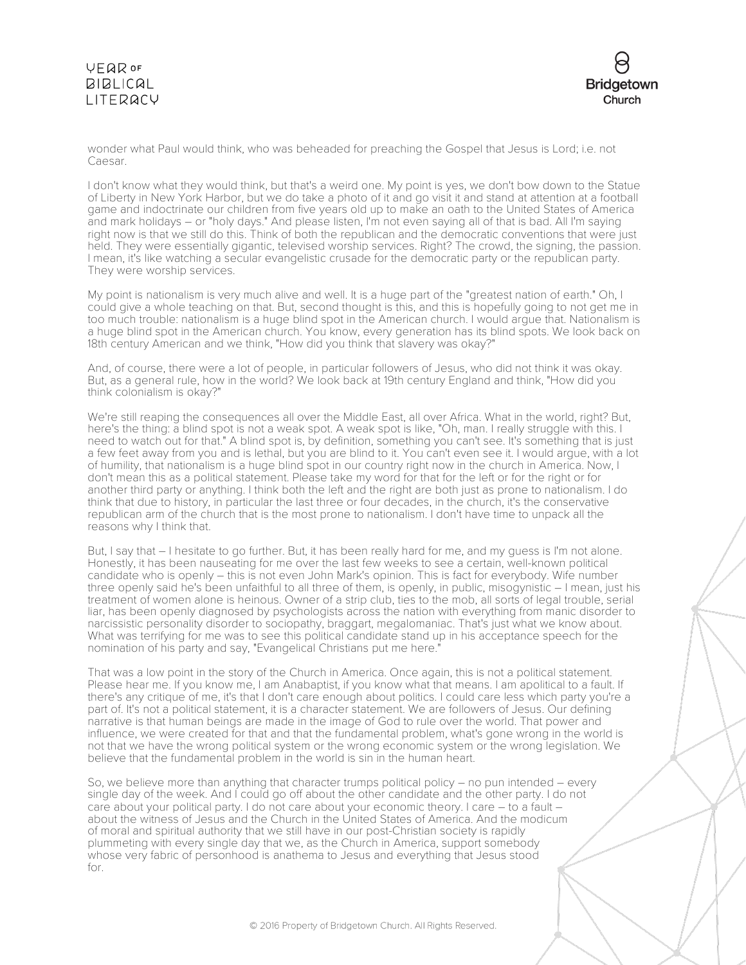

wonder what Paul would think, who was beheaded for preaching the Gospel that Jesus is Lord; i.e. not Caesar.

I don't know what they would think, but that's a weird one. My point is yes, we don't bow down to the Statue of Liberty in New York Harbor, but we do take a photo of it and go visit it and stand at attention at a football game and indoctrinate our children from five years old up to make an oath to the United States of America and mark holidays – or "holy days." And please listen, I'm not even saying all of that is bad. All I'm saying right now is that we still do this. Think of both the republican and the democratic conventions that were just held. They were essentially gigantic, televised worship services. Right? The crowd, the signing, the passion. I mean, it's like watching a secular evangelistic crusade for the democratic party or the republican party. They were worship services.

My point is nationalism is very much alive and well. It is a huge part of the "greatest nation of earth." Oh, I could give a whole teaching on that. But, second thought is this, and this is hopefully going to not get me in too much trouble: nationalism is a huge blind spot in the American church. I would argue that. Nationalism is a huge blind spot in the American church. You know, every generation has its blind spots. We look back on 18th century American and we think, "How did you think that slavery was okay?"

And, of course, there were a lot of people, in particular followers of Jesus, who did not think it was okay. But, as a general rule, how in the world? We look back at 19th century England and think, "How did you think colonialism is okay?"

We're still reaping the consequences all over the Middle East, all over Africa. What in the world, right? But, here's the thing: a blind spot is not a weak spot. A weak spot is like, "Oh, man. I really struggle with this. I need to watch out for that." A blind spot is, by definition, something you can't see. It's something that is just a few feet away from you and is lethal, but you are blind to it. You can't even see it. I would argue, with a lot of humility, that nationalism is a huge blind spot in our country right now in the church in America. Now, I don't mean this as a political statement. Please take my word for that for the left or for the right or for another third party or anything. I think both the left and the right are both just as prone to nationalism. I do think that due to history, in particular the last three or four decades, in the church, it's the conservative republican arm of the church that is the most prone to nationalism. I don't have time to unpack all the reasons why I think that.

But, I say that – I hesitate to go further. But, it has been really hard for me, and my guess is I'm not alone. Honestly, it has been nauseating for me over the last few weeks to see a certain, well-known political candidate who is openly – this is not even John Mark's opinion. This is fact for everybody. Wife number three openly said he's been unfaithful to all three of them, is openly, in public, misogynistic – I mean, just his treatment of women alone is heinous. Owner of a strip club, ties to the mob, all sorts of legal trouble, serial liar, has been openly diagnosed by psychologists across the nation with everything from manic disorder to narcissistic personality disorder to sociopathy, braggart, megalomaniac. That's just what we know about. What was terrifying for me was to see this political candidate stand up in his acceptance speech for the nomination of his party and say, "Evangelical Christians put me here."

That was a low point in the story of the Church in America. Once again, this is not a political statement. Please hear me. If you know me, I am Anabaptist, if you know what that means. I am apolitical to a fault. If there's any critique of me, it's that I don't care enough about politics. I could care less which party you're a part of. It's not a political statement, it is a character statement. We are followers of Jesus. Our defining narrative is that human beings are made in the image of God to rule over the world. That power and influence, we were created for that and that the fundamental problem, what's gone wrong in the world is not that we have the wrong political system or the wrong economic system or the wrong legislation. We believe that the fundamental problem in the world is sin in the human heart.

So, we believe more than anything that character trumps political policy – no pun intended – every single day of the week. And I could go off about the other candidate and the other party. I do not care about your political party. I do not care about your economic theory. I care – to a fault – about the witness of Jesus and the Church in the United States of America. And the modicum of moral and spiritual authority that we still have in our post-Christian society is rapidly plummeting with every single day that we, as the Church in America, support somebody whose very fabric of personhood is anathema to Jesus and everything that Jesus stood for.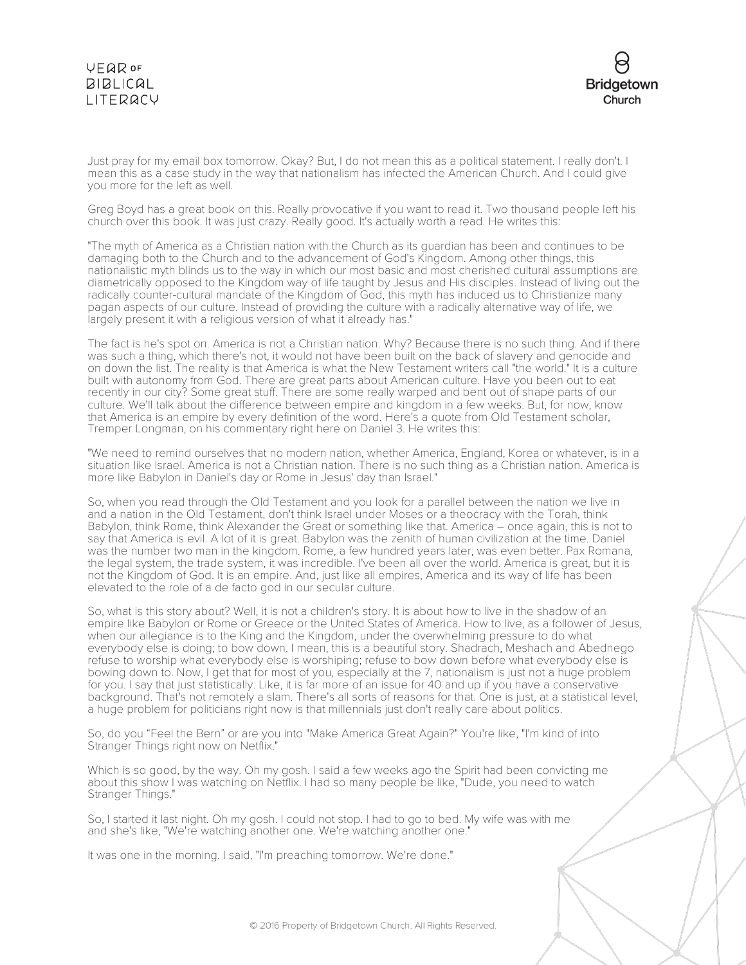

Just pray for my email box tomorrow. Okay? But, I do not mean this as a political statement. I really don't. I mean this as a case study in the way that nationalism has infected the American Church. And I could give you more for the left as well.

Greg Boyd has a great book on this. Really provocative if you want to read it. Two thousand people left his church over this book. It was just crazy. Really good. It's actually worth a read. He writes this:

"The myth of America as a Christian nation with the Church as its guardian has been and continues to be damaging both to the Church and to the advancement of God's Kingdom. Among other things, this nationalistic myth blinds us to the way in which our most basic and most cherished cultural assumptions are diametrically opposed to the Kingdom way of life taught by Jesus and His disciples. Instead of living out the radically counter-cultural mandate of the Kingdom of God, this myth has induced us to Christianize many pagan aspects of our culture. Instead of providing the culture with a radically alternative way of life, we largely present it with a religious version of what it already has."

The fact is he's spot on. America is not a Christian nation. Why? Because there is no such thing. And if there was such a thing, which there's not, it would not have been built on the back of slavery and genocide and on down the list. The reality is that America is what the New Testament writers call "the world." It is a culture built with autonomy from God. There are great parts about American culture. Have you been out to eat recently in our city? Some great stuff. There are some really warped and bent out of shape parts of our culture. We'll talk about the difference between empire and kingdom in a few weeks. But, for now, know that America is an empire by every definition of the word. Here's a quote from Old Testament scholar, Tremper Longman, on his commentary right here on Daniel 3. He writes this:

"We need to remind ourselves that no modern nation, whether America, England, Korea or whatever, is in a situation like Israel. America is not a Christian nation. There is no such thing as a Christian nation. America is more like Babylon in Daniel's day or Rome in Jesus' day than Israel."

So, when you read through the Old Testament and you look for a parallel between the nation we live in and a nation in the Old Testament, don't think Israel under Moses or a theocracy with the Torah, think Babylon, think Rome, think Alexander the Great or something like that. America – once again, this is not to say that America is evil. A lot of it is great. Babylon was the zenith of human civilization at the time. Daniel was the number two man in the kingdom. Rome, a few hundred years later, was even better. Pax Romana, the legal system, the trade system, it was incredible. I've been all over the world. America is great, but it is not the Kingdom of God. It is an empire. And, just like all empires, America and its way of life has been elevated to the role of a de facto god in our secular culture.

So, what is this story about? Well, it is not a children's story. It is about how to live in the shadow of an empire like Babylon or Rome or Greece or the United States of America. How to live, as a follower of Jesus, when our allegiance is to the King and the Kingdom, under the overwhelming pressure to do what everybody else is doing; to bow down. I mean, this is a beautiful story. Shadrach, Meshach and Abednego refuse to worship what everybody else is worshiping; refuse to bow down before what everybody else is bowing down to. Now, I get that for most of you, especially at the 7, nationalism is just not a huge problem for you. I say that just statistically. Like, it is far more of an issue for 40 and up if you have a conservative background. That's not remotely a slam. There's all sorts of reasons for that. One is just, at a statistical level, a huge problem for politicians right now is that millennials just don't really care about politics.

So, do you "Feel the Bern" or are you into "Make America Great Again?" You're like, "I'm kind of into Stranger Things right now on Netflix."

Which is so good, by the way. Oh my gosh. I said a few weeks ago the Spirit had been convicting me about this show I was watching on Netflix. I had so many people be like, "Dude, you need to watch Stranger Things."

So, I started it last night. Oh my gosh. I could not stop. I had to go to bed. My wife was with me and she's like, "We're watching another one. We're watching another one."

It was one in the morning. I said, "I'm preaching tomorrow. We're done."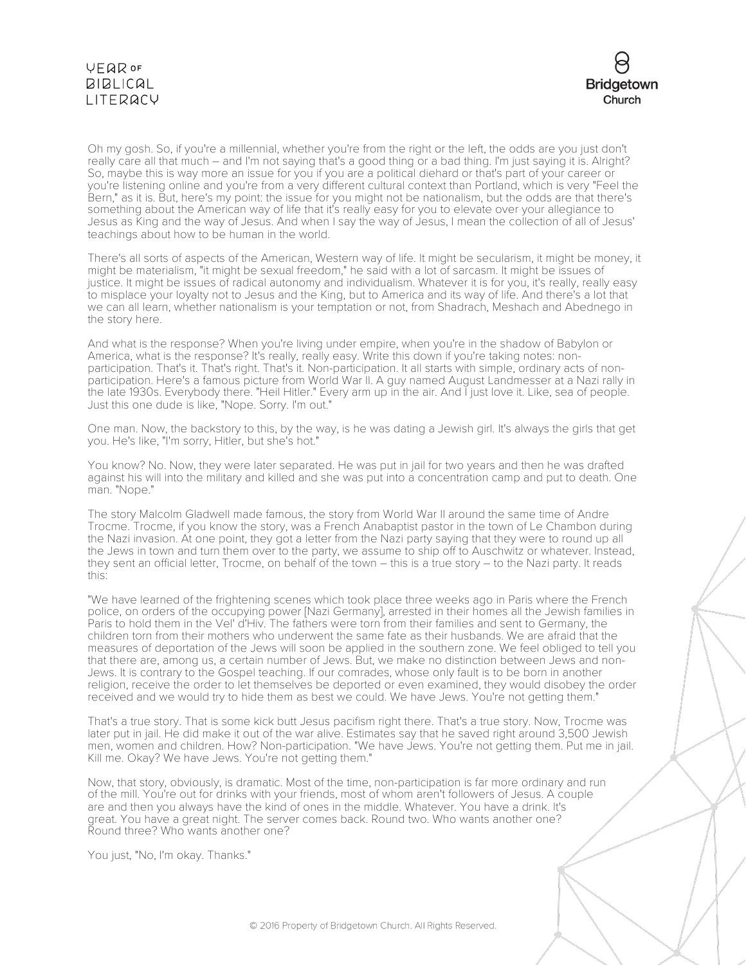

Oh my gosh. So, if you're a millennial, whether you're from the right or the left, the odds are you just don't really care all that much – and I'm not saying that's a good thing or a bad thing. I'm just saying it is. Alright? So, maybe this is way more an issue for you if you are a political diehard or that's part of your career or you're listening online and you're from a very different cultural context than Portland, which is very "Feel the Bern," as it is. But, here's my point: the issue for you might not be nationalism, but the odds are that there's something about the American way of life that it's really easy for you to elevate over your allegiance to Jesus as King and the way of Jesus. And when I say the way of Jesus, I mean the collection of all of Jesus' teachings about how to be human in the world.

There's all sorts of aspects of the American, Western way of life. It might be secularism, it might be money, it might be materialism, "it might be sexual freedom," he said with a lot of sarcasm. It might be issues of justice. It might be issues of radical autonomy and individualism. Whatever it is for you, it's really, really easy to misplace your loyalty not to Jesus and the King, but to America and its way of life. And there's a lot that we can all learn, whether nationalism is your temptation or not, from Shadrach, Meshach and Abednego in the story here.

And what is the response? When you're living under empire, when you're in the shadow of Babylon or America, what is the response? It's really, really easy. Write this down if you're taking notes: nonparticipation. That's it. That's right. That's it. Non-participation. It all starts with simple, ordinary acts of nonparticipation. Here's a famous picture from World War II. A guy named August Landmesser at a Nazi rally in the late 1930s. Everybody there. "Heil Hitler." Every arm up in the air. And I just love it. Like, sea of people. Just this one dude is like, "Nope. Sorry. I'm out."

One man. Now, the backstory to this, by the way, is he was dating a Jewish girl. It's always the girls that get you. He's like, "I'm sorry, Hitler, but she's hot."

You know? No. Now, they were later separated. He was put in jail for two years and then he was drafted against his will into the military and killed and she was put into a concentration camp and put to death. One man. "Nope."

The story Malcolm Gladwell made famous, the story from World War II around the same time of Andre Trocme. Trocme, if you know the story, was a French Anabaptist pastor in the town of Le Chambon during the Nazi invasion. At one point, they got a letter from the Nazi party saying that they were to round up all the Jews in town and turn them over to the party, we assume to ship off to Auschwitz or whatever. Instead, they sent an official letter, Trocme, on behalf of the town – this is a true story – to the Nazi party. It reads this:

"We have learned of the frightening scenes which took place three weeks ago in Paris where the French police, on orders of the occupying power [Nazi Germany], arrested in their homes all the Jewish families in Paris to hold them in the Vel' d'Hiv. The fathers were torn from their families and sent to Germany, the children torn from their mothers who underwent the same fate as their husbands. We are afraid that the measures of deportation of the Jews will soon be applied in the southern zone. We feel obliged to tell you that there are, among us, a certain number of Jews. But, we make no distinction between Jews and non-Jews. It is contrary to the Gospel teaching. If our comrades, whose only fault is to be born in another religion, receive the order to let themselves be deported or even examined, they would disobey the order received and we would try to hide them as best we could. We have Jews. You're not getting them."

That's a true story. That is some kick butt Jesus pacifism right there. That's a true story. Now, Trocme was later put in jail. He did make it out of the war alive. Estimates say that he saved right around 3,500 Jewish men, women and children. How? Non-participation. "We have Jews. You're not getting them. Put me in jail. Kill me. Okay? We have Jews. You're not getting them."

Now, that story, obviously, is dramatic. Most of the time, non-participation is far more ordinary and run of the mill. You're out for drinks with your friends, most of whom aren't followers of Jesus. A couple are and then you always have the kind of ones in the middle. Whatever. You have a drink. It's great. You have a great night. The server comes back. Round two. Who wants another one? Round three? Who wants another one?

You just, "No, I'm okay. Thanks."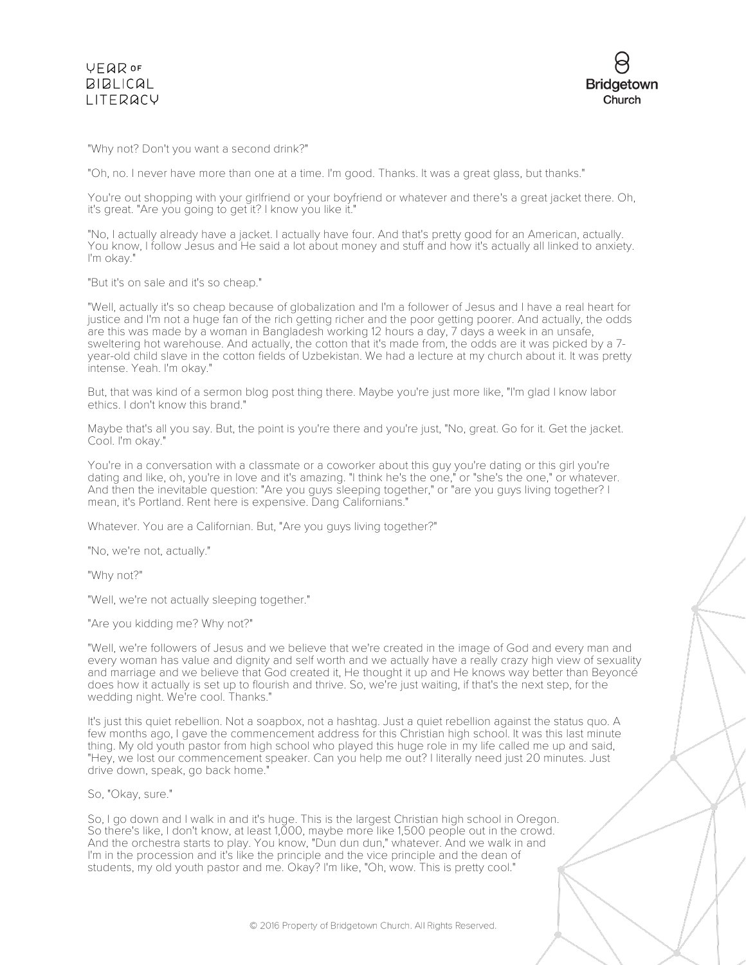

"Why not? Don't you want a second drink?"

"Oh, no. I never have more than one at a time. I'm good. Thanks. It was a great glass, but thanks."

You're out shopping with your girlfriend or your boyfriend or whatever and there's a great jacket there. Oh, it's great. "Are you going to get it? I know you like it."

"No, I actually already have a jacket. I actually have four. And that's pretty good for an American, actually. You know, I follow Jesus and He said a lot about money and stuff and how it's actually all linked to anxiety. I'm okay."

"But it's on sale and it's so cheap."

"Well, actually it's so cheap because of globalization and I'm a follower of Jesus and I have a real heart for justice and I'm not a huge fan of the rich getting richer and the poor getting poorer. And actually, the odds are this was made by a woman in Bangladesh working 12 hours a day, 7 days a week in an unsafe, sweltering hot warehouse. And actually, the cotton that it's made from, the odds are it was picked by a 7 year-old child slave in the cotton fields of Uzbekistan. We had a lecture at my church about it. It was pretty intense. Yeah. I'm okay."

But, that was kind of a sermon blog post thing there. Maybe you're just more like, "I'm glad I know labor ethics. I don't know this brand."

Maybe that's all you say. But, the point is you're there and you're just, "No, great. Go for it. Get the jacket. Cool. I'm okay."

You're in a conversation with a classmate or a coworker about this guy you're dating or this girl you're dating and like, oh, you're in love and it's amazing. "I think he's the one," or "she's the one," or whatever. And then the inevitable question: "Are you guys sleeping together," or "are you guys living together? I mean, it's Portland. Rent here is expensive. Dang Californians."

Whatever. You are a Californian. But, "Are you guys living together?"

"No, we're not, actually."

"Why not?"

"Well, we're not actually sleeping together."

"Are you kidding me? Why not?"

"Well, we're followers of Jesus and we believe that we're created in the image of God and every man and every woman has value and dignity and self worth and we actually have a really crazy high view of sexuality and marriage and we believe that God created it, He thought it up and He knows way better than Beyoncé does how it actually is set up to flourish and thrive. So, we're just waiting, if that's the next step, for the wedding night. We're cool. Thanks."

It's just this quiet rebellion. Not a soapbox, not a hashtag. Just a quiet rebellion against the status quo. A few months ago, I gave the commencement address for this Christian high school. It was this last minute thing. My old youth pastor from high school who played this huge role in my life called me up and said, "Hey, we lost our commencement speaker. Can you help me out? I literally need just 20 minutes. Just drive down, speak, go back home.

So, "Okay, sure."

So, I go down and I walk in and it's huge. This is the largest Christian high school in Oregon. So there's like, I don't know, at least 1,000, maybe more like 1,500 people out in the crowd. And the orchestra starts to play. You know, "Dun dun dun," whatever. And we walk in and I'm in the procession and it's like the principle and the vice principle and the dean of students, my old youth pastor and me. Okay? I'm like, "Oh, wow. This is pretty cool."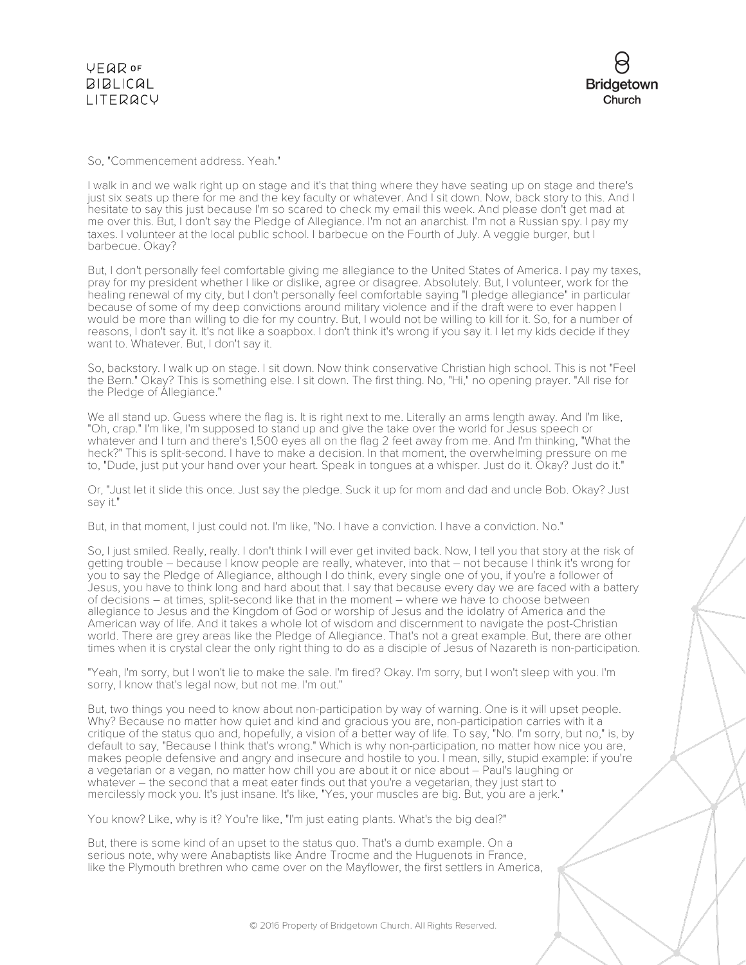So, "Commencement address. Yeah."

I walk in and we walk right up on stage and it's that thing where they have seating up on stage and there's just six seats up there for me and the key faculty or whatever. And I sit down. Now, back story to this. And I hesitate to say this just because I'm so scared to check my email this week. And please don't get mad at me over this. But, I don't say the Pledge of Allegiance. I'm not an anarchist. I'm not a Russian spy. I pay my taxes. I volunteer at the local public school. I barbecue on the Fourth of July. A veggie burger, but I barbecue. Okay?

But, I don't personally feel comfortable giving me allegiance to the United States of America. I pay my taxes, pray for my president whether I like or dislike, agree or disagree. Absolutely. But, I volunteer, work for the healing renewal of my city, but I don't personally feel comfortable saying "I pledge allegiance" in particular because of some of my deep convictions around military violence and if the draft were to ever happen I would be more than willing to die for my country. But, I would not be willing to kill for it. So, for a number of reasons, I don't say it. It's not like a soapbox. I don't think it's wrong if you say it. I let my kids decide if they want to. Whatever. But, I don't say it.

So, backstory. I walk up on stage. I sit down. Now think conservative Christian high school. This is not "Feel the Bern." Okay? This is something else. I sit down. The first thing. No, "Hi," no opening prayer. "All rise for the Pledge of Allegiance."

We all stand up. Guess where the flag is. It is right next to me. Literally an arms length away. And I'm like, "Oh, crap." I'm like, I'm supposed to stand up and give the take over the world for Jesus speech or whatever and I turn and there's 1,500 eyes all on the flag 2 feet away from me. And I'm thinking, "What the heck?" This is split-second. I have to make a decision. In that moment, the overwhelming pressure on me to, "Dude, just put your hand over your heart. Speak in tongues at a whisper. Just do it. Okay? Just do it."

Or, "Just let it slide this once. Just say the pledge. Suck it up for mom and dad and uncle Bob. Okay? Just say it."

But, in that moment, I just could not. I'm like, "No. I have a conviction. I have a conviction. No."

So, I just smiled. Really, really. I don't think I will ever get invited back. Now, I tell you that story at the risk of getting trouble – because I know people are really, whatever, into that – not because I think it's wrong for you to say the Pledge of Allegiance, although I do think, every single one of you, if you're a follower of Jesus, you have to think long and hard about that. I say that because every day we are faced with a battery of decisions – at times, split-second like that in the moment – where we have to choose between allegiance to Jesus and the Kingdom of God or worship of Jesus and the idolatry of America and the American way of life. And it takes a whole lot of wisdom and discernment to navigate the post-Christian world. There are grey areas like the Pledge of Allegiance. That's not a great example. But, there are other times when it is crystal clear the only right thing to do as a disciple of Jesus of Nazareth is non-participation.

"Yeah, I'm sorry, but I won't lie to make the sale. I'm fired? Okay. I'm sorry, but I won't sleep with you. I'm sorry, I know that's legal now, but not me. I'm out."

But, two things you need to know about non-participation by way of warning. One is it will upset people. Why? Because no matter how quiet and kind and gracious you are, non-participation carries with it a critique of the status quo and, hopefully, a vision of a better way of life. To say, "No. I'm sorry, but no," is, by default to say, "Because I think that's wrong." Which is why non-participation, no matter how nice you are, makes people defensive and angry and insecure and hostile to you. I mean, silly, stupid example: if you're a vegetarian or a vegan, no matter how chill you are about it or nice about – Paul's laughing or whatever – the second that a meat eater finds out that you're a vegetarian, they just start to mercilessly mock you. It's just insane. It's like, "Yes, your muscles are big. But, you are a jerk."

You know? Like, why is it? You're like, "I'm just eating plants. What's the big deal?"

But, there is some kind of an upset to the status quo. That's a dumb example. On a serious note, why were Anabaptists like Andre Trocme and the Huguenots in France, like the Plymouth brethren who came over on the Mayflower, the first settlers in America,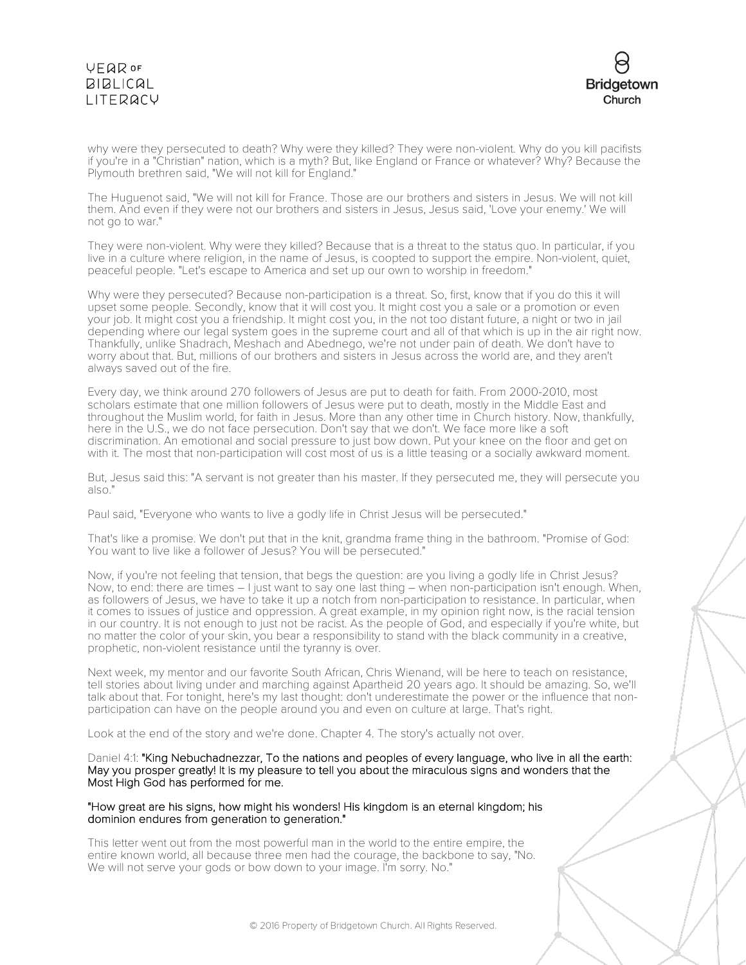

why were they persecuted to death? Why were they killed? They were non-violent. Why do you kill pacifists if you're in a "Christian" nation, which is a myth? But, like England or France or whatever? Why? Because the Plymouth brethren said, "We will not kill for England."

The Huguenot said, "We will not kill for France. Those are our brothers and sisters in Jesus. We will not kill them. And even if they were not our brothers and sisters in Jesus, Jesus said, 'Love your enemy.' We will not go to war."

They were non-violent. Why were they killed? Because that is a threat to the status quo. In particular, if you live in a culture where religion, in the name of Jesus, is coopted to support the empire. Non-violent, quiet, peaceful people. "Let's escape to America and set up our own to worship in freedom."

Why were they persecuted? Because non-participation is a threat. So, first, know that if you do this it will upset some people. Secondly, know that it will cost you. It might cost you a sale or a promotion or even your job. It might cost you a friendship. It might cost you, in the not too distant future, a night or two in jail depending where our legal system goes in the supreme court and all of that which is up in the air right now. Thankfully, unlike Shadrach, Meshach and Abednego, we're not under pain of death. We don't have to worry about that. But, millions of our brothers and sisters in Jesus across the world are, and they aren't always saved out of the fire.

Every day, we think around 270 followers of Jesus are put to death for faith. From 2000-2010, most scholars estimate that one million followers of Jesus were put to death, mostly in the Middle East and throughout the Muslim world, for faith in Jesus. More than any other time in Church history. Now, thankfully, here in the U.S., we do not face persecution. Don't say that we don't. We face more like a soft discrimination. An emotional and social pressure to just bow down. Put your knee on the floor and get on with it. The most that non-participation will cost most of us is a little teasing or a socially awkward moment.

But, Jesus said this: "A servant is not greater than his master. If they persecuted me, they will persecute you also."

Paul said, "Everyone who wants to live a godly life in Christ Jesus will be persecuted."

That's like a promise. We don't put that in the knit, grandma frame thing in the bathroom. "Promise of God: You want to live like a follower of Jesus? You will be persecuted."

Now, if you're not feeling that tension, that begs the question: are you living a godly life in Christ Jesus? Now, to end: there are times – I just want to say one last thing – when non-participation isn't enough. When, as followers of Jesus, we have to take it up a notch from non-participation to resistance. In particular, when it comes to issues of justice and oppression. A great example, in my opinion right now, is the racial tension in our country. It is not enough to just not be racist. As the people of God, and especially if you're white, but no matter the color of your skin, you bear a responsibility to stand with the black community in a creative, prophetic, non-violent resistance until the tyranny is over.

Next week, my mentor and our favorite South African, Chris Wienand, will be here to teach on resistance, tell stories about living under and marching against Apartheid 20 years ago. It should be amazing. So, we'll talk about that. For tonight, here's my last thought: don't underestimate the power or the influence that nonparticipation can have on the people around you and even on culture at large. That's right.

Look at the end of the story and we're done. Chapter 4. The story's actually not over.

Daniel 4:1: "King Nebuchadnezzar, To the nations and peoples of every language, who live in all the earth: May you prosper greatly! It is my pleasure to tell you about the miraculous signs and wonders that the Most High God has performed for me.

#### "How great are his signs, how might his wonders! His kingdom is an eternal kingdom; his dominion endures from generation to generation."

This letter went out from the most powerful man in the world to the entire empire, the entire known world, all because three men had the courage, the backbone to say, "No. We will not serve your gods or bow down to your image. I'm sorry. No."